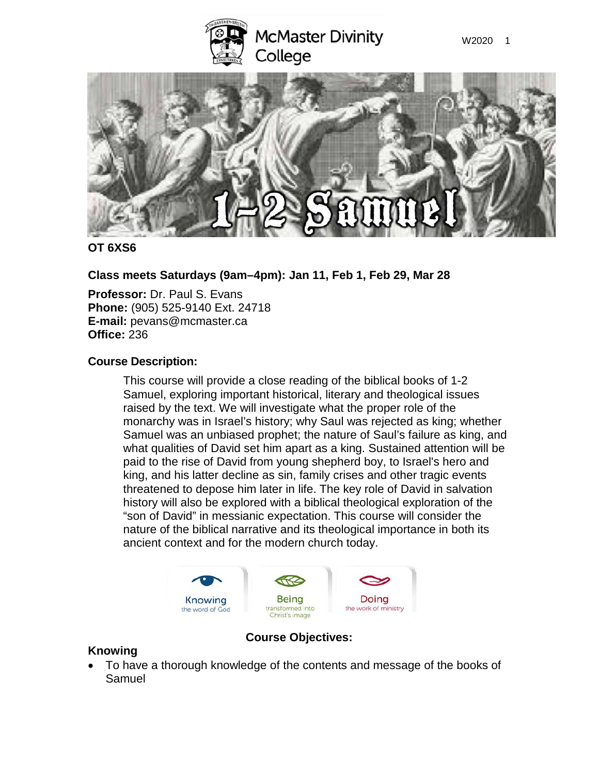



### **OT 6XS6**

**Class meets Saturdays (9am–4pm): Jan 11, Feb 1, Feb 29, Mar 28**

**Professor:** Dr. Paul S. Evans **Phone:** (905) 525-9140 Ext. 24718 **E-mail:** pevans@mcmaster.ca **Office:** 236

# **Course Description:**

This course will provide a close reading of the biblical books of 1-2 Samuel, exploring important historical, literary and theological issues raised by the text. We will investigate what the proper role of the monarchy was in Israel's history; why Saul was rejected as king; whether Samuel was an unbiased prophet; the nature of Saul's failure as king, and what qualities of David set him apart as a king. Sustained attention will be paid to the rise of David from young shepherd boy, to Israel's hero and king, and his latter decline as sin, family crises and other tragic events threatened to depose him later in life. The key role of David in salvation history will also be explored with a biblical theological exploration of the "son of David" in messianic expectation. This course will consider the nature of the biblical narrative and its theological importance in both its ancient context and for the modern church today.



# **Course Objectives:**

# **Knowing**

• To have a thorough knowledge of the contents and message of the books of **Samuel**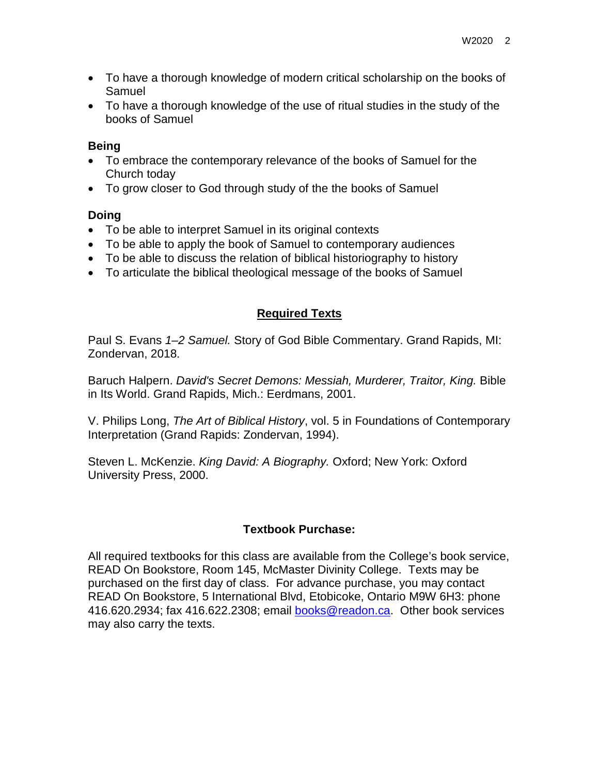- To have a thorough knowledge of modern critical scholarship on the books of Samuel
- To have a thorough knowledge of the use of ritual studies in the study of the books of Samuel

### **Being**

- To embrace the contemporary relevance of the books of Samuel for the Church today
- To grow closer to God through study of the the books of Samuel

# **Doing**

- To be able to interpret Samuel in its original contexts
- To be able to apply the book of Samuel to contemporary audiences
- To be able to discuss the relation of biblical historiography to history
- To articulate the biblical theological message of the books of Samuel

# **Required Texts**

Paul S. Evans *1–2 Samuel.* Story of God Bible Commentary. Grand Rapids, MI: Zondervan, 2018.

Baruch Halpern. *David's Secret Demons: Messiah, Murderer, Traitor, King.* Bible in Its World. Grand Rapids, Mich.: Eerdmans, 2001.

V. Philips Long, *The Art of Biblical History*, vol. 5 in Foundations of Contemporary Interpretation (Grand Rapids: Zondervan, 1994).

Steven L. McKenzie. *King David: A Biography.* Oxford; New York: Oxford University Press, 2000.

# **Textbook Purchase:**

All required textbooks for this class are available from the College's book service, READ On Bookstore, Room 145, McMaster Divinity College. Texts may be purchased on the first day of class. For advance purchase, you may contact READ On Bookstore, 5 International Blvd, Etobicoke, Ontario M9W 6H3: phone 416.620.2934; fax 416.622.2308; email [books@readon.ca.](mailto:books@readon.ca) Other book services may also carry the texts.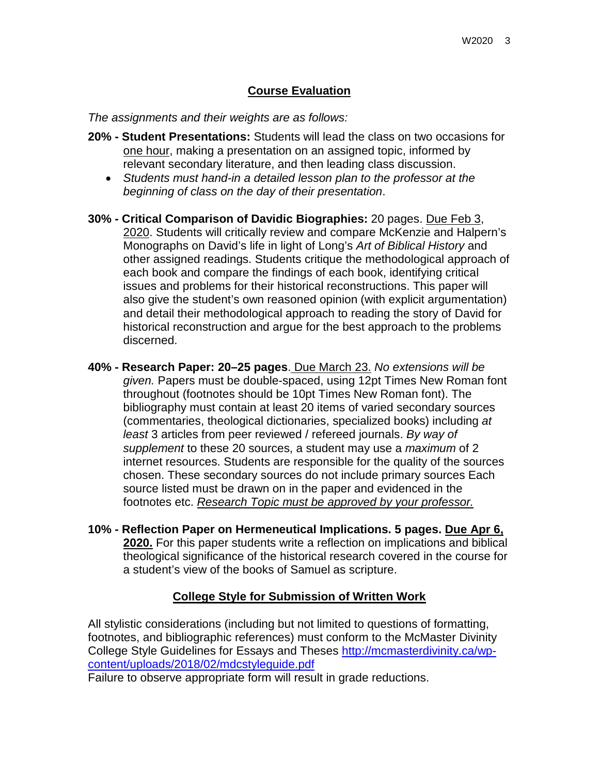### **Course Evaluation**

*The assignments and their weights are as follows:*

- **20% - Student Presentations:** Students will lead the class on two occasions for one hour, making a presentation on an assigned topic, informed by relevant secondary literature, and then leading class discussion.
	- *Students must hand-in a detailed lesson plan to the professor at the beginning of class on the day of their presentation*.
- **30% - Critical Comparison of Davidic Biographies:** 20 pages. Due Feb 3, 2020. Students will critically review and compare McKenzie and Halpern's Monographs on David's life in light of Long's *Art of Biblical History* and other assigned readings. Students critique the methodological approach of each book and compare the findings of each book, identifying critical issues and problems for their historical reconstructions. This paper will also give the student's own reasoned opinion (with explicit argumentation) and detail their methodological approach to reading the story of David for historical reconstruction and argue for the best approach to the problems discerned.
- **40% - Research Paper: 20–25 pages**. Due March 23. *No extensions will be given.* Papers must be double-spaced, using 12pt Times New Roman font throughout (footnotes should be 10pt Times New Roman font). The bibliography must contain at least 20 items of varied secondary sources (commentaries, theological dictionaries, specialized books) including *at least* 3 articles from peer reviewed / refereed journals. *By way of supplement* to these 20 sources, a student may use a *maximum* of 2 internet resources. Students are responsible for the quality of the sources chosen. These secondary sources do not include primary sources Each source listed must be drawn on in the paper and evidenced in the footnotes etc. *Research Topic must be approved by your professor.*
- **10% - Reflection Paper on Hermeneutical Implications. 5 pages. Due Apr 6, 2020.** For this paper students write a reflection on implications and biblical theological significance of the historical research covered in the course for a student's view of the books of Samuel as scripture.

#### **College Style for Submission of Written Work**

All stylistic considerations (including but not limited to questions of formatting, footnotes, and bibliographic references) must conform to the McMaster Divinity College Style Guidelines for Essays and Theses http://mcmasterdivinity.ca/wpcontent/uploads/2018/02/mdcstyleguide.pdf

Failure to observe appropriate form will result in grade reductions.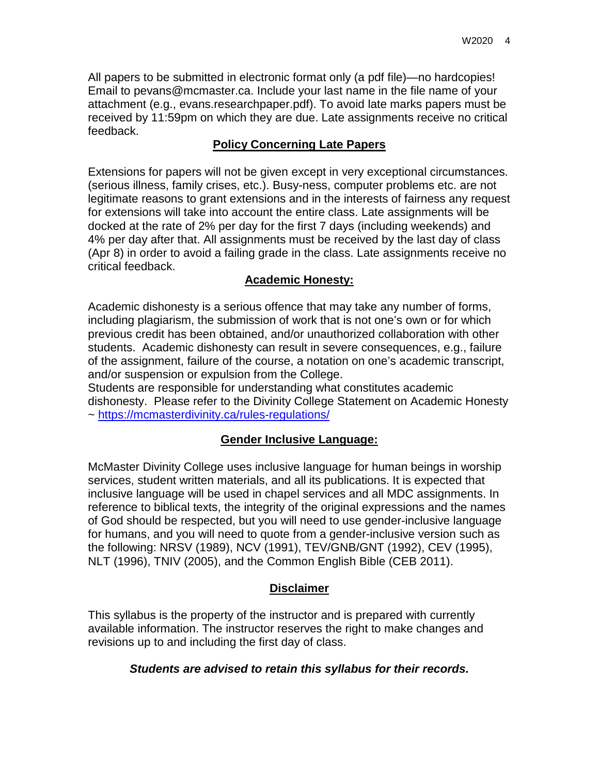All papers to be submitted in electronic format only (a pdf file)—no hardcopies! Email to pevans@mcmaster.ca. Include your last name in the file name of your attachment (e.g., evans.researchpaper.pdf). To avoid late marks papers must be received by 11:59pm on which they are due. Late assignments receive no critical feedback.

# **Policy Concerning Late Papers**

Extensions for papers will not be given except in very exceptional circumstances. (serious illness, family crises, etc.). Busy-ness, computer problems etc. are not legitimate reasons to grant extensions and in the interests of fairness any request for extensions will take into account the entire class. Late assignments will be docked at the rate of 2% per day for the first 7 days (including weekends) and 4% per day after that. All assignments must be received by the last day of class (Apr 8) in order to avoid a failing grade in the class. Late assignments receive no critical feedback.

# **Academic Honesty:**

Academic dishonesty is a serious offence that may take any number of forms, including plagiarism, the submission of work that is not one's own or for which previous credit has been obtained, and/or unauthorized collaboration with other students. Academic dishonesty can result in severe consequences, e.g., failure of the assignment, failure of the course, a notation on one's academic transcript, and/or suspension or expulsion from the College.

Students are responsible for understanding what constitutes academic dishonesty. Please refer to the Divinity College Statement on Academic Honesty ~<https://mcmasterdivinity.ca/rules-regulations/>

# **Gender Inclusive Language:**

McMaster Divinity College uses inclusive language for human beings in worship services, student written materials, and all its publications. It is expected that inclusive language will be used in chapel services and all MDC assignments. In reference to biblical texts, the integrity of the original expressions and the names of God should be respected, but you will need to use gender-inclusive language for humans, and you will need to quote from a gender-inclusive version such as the following: NRSV (1989), NCV (1991), TEV/GNB/GNT (1992), CEV (1995), NLT (1996), TNIV (2005), and the Common English Bible (CEB 2011).

# **Disclaimer**

This syllabus is the property of the instructor and is prepared with currently available information. The instructor reserves the right to make changes and revisions up to and including the first day of class.

# *Students are advised to retain this syllabus for their records.*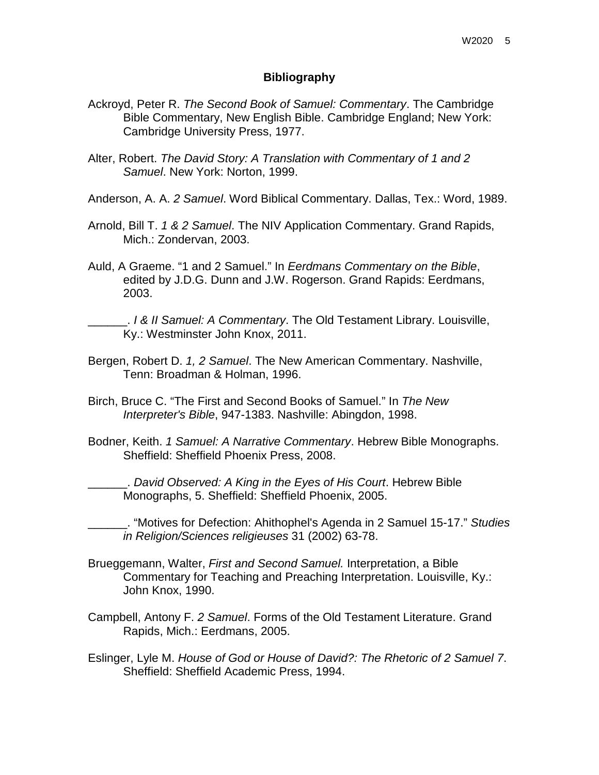#### **Bibliography**

- Ackroyd, Peter R. *The Second Book of Samuel: Commentary*. The Cambridge Bible Commentary, New English Bible. Cambridge England; New York: Cambridge University Press, 1977.
- Alter, Robert. *The David Story: A Translation with Commentary of 1 and 2 Samuel*. New York: Norton, 1999.
- Anderson, A. A. *2 Samuel*. Word Biblical Commentary. Dallas, Tex.: Word, 1989.
- Arnold, Bill T. *1 & 2 Samuel*. The NIV Application Commentary. Grand Rapids, Mich.: Zondervan, 2003.
- Auld, A Graeme. "1 and 2 Samuel." In *Eerdmans Commentary on the Bible*, edited by J.D.G. Dunn and J.W. Rogerson. Grand Rapids: Eerdmans, 2003.

\_\_\_\_\_\_. *I & II Samuel: A Commentary*. The Old Testament Library. Louisville, Ky.: Westminster John Knox, 2011.

- Bergen, Robert D. *1, 2 Samuel*. The New American Commentary. Nashville, Tenn: Broadman & Holman, 1996.
- Birch, Bruce C. "The First and Second Books of Samuel." In *The New Interpreter's Bible*, 947-1383. Nashville: Abingdon, 1998.
- Bodner, Keith. *1 Samuel: A Narrative Commentary*. Hebrew Bible Monographs. Sheffield: Sheffield Phoenix Press, 2008.

\_\_\_\_\_\_. *David Observed: A King in the Eyes of His Court*. Hebrew Bible Monographs, 5. Sheffield: Sheffield Phoenix, 2005.

\_\_\_\_\_\_. "Motives for Defection: Ahithophel's Agenda in 2 Samuel 15-17." *Studies in Religion/Sciences religieuses* 31 (2002) 63-78.

- Brueggemann, Walter, *First and Second Samuel.* Interpretation, a Bible Commentary for Teaching and Preaching Interpretation. Louisville, Ky.: John Knox, 1990.
- Campbell, Antony F. *2 Samuel*. Forms of the Old Testament Literature. Grand Rapids, Mich.: Eerdmans, 2005.
- Eslinger, Lyle M. *House of God or House of David?: The Rhetoric of 2 Samuel 7*. Sheffield: Sheffield Academic Press, 1994.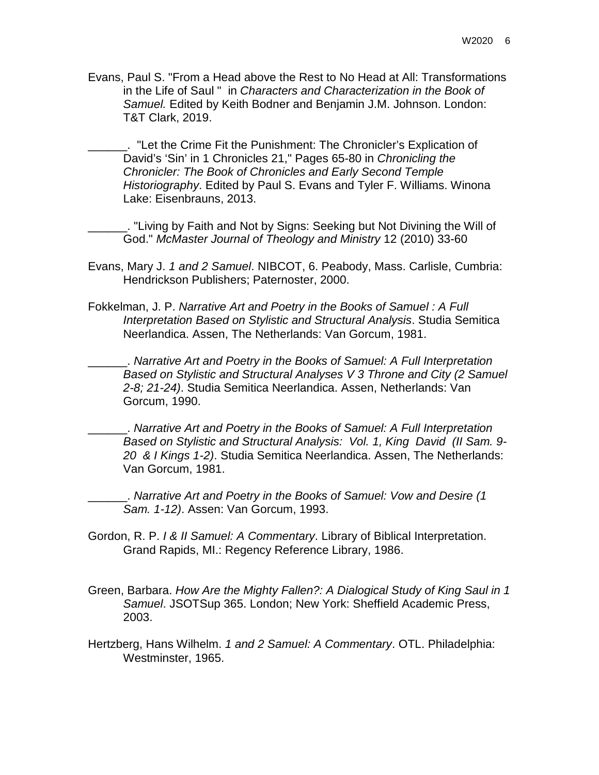Evans, Paul S. "From a Head above the Rest to No Head at All: Transformations in the Life of Saul " in *Characters and Characterization in the Book of Samuel.* Edited by Keith Bodner and Benjamin J.M. Johnson. London: T&T Clark, 2019.

\_\_\_\_\_\_. "Let the Crime Fit the Punishment: The Chronicler's Explication of David's 'Sin' in 1 Chronicles 21," Pages 65-80 in *Chronicling the Chronicler: The Book of Chronicles and Early Second Temple Historiography*. Edited by Paul S. Evans and Tyler F. Williams. Winona Lake: Eisenbrauns, 2013.

\_\_\_\_\_\_. "Living by Faith and Not by Signs: Seeking but Not Divining the Will of God." *McMaster Journal of Theology and Ministry* 12 (2010) 33-60

- Evans, Mary J. *1 and 2 Samuel*. NIBCOT, 6. Peabody, Mass. Carlisle, Cumbria: Hendrickson Publishers; Paternoster, 2000.
- Fokkelman, J. P. *Narrative Art and Poetry in the Books of Samuel : A Full Interpretation Based on Stylistic and Structural Analysis*. Studia Semitica Neerlandica. Assen, The Netherlands: Van Gorcum, 1981.

\_\_\_\_\_\_. *Narrative Art and Poetry in the Books of Samuel: A Full Interpretation Based on Stylistic and Structural Analyses V 3 Throne and City (2 Samuel 2-8; 21-24)*. Studia Semitica Neerlandica. Assen, Netherlands: Van Gorcum, 1990.

\_\_\_\_\_\_. *Narrative Art and Poetry in the Books of Samuel: A Full Interpretation Based on Stylistic and Structural Analysis: Vol. 1, King David (II Sam. 9- 20 & I Kings 1-2)*. Studia Semitica Neerlandica. Assen, The Netherlands: Van Gorcum, 1981.

\_\_\_\_\_\_. *Narrative Art and Poetry in the Books of Samuel: Vow and Desire (1 Sam. 1-12)*. Assen: Van Gorcum, 1993.

- Gordon, R. P. *I & II Samuel: A Commentary*. Library of Biblical Interpretation. Grand Rapids, MI.: Regency Reference Library, 1986.
- Green, Barbara. *How Are the Mighty Fallen?: A Dialogical Study of King Saul in 1 Samuel*. JSOTSup 365. London; New York: Sheffield Academic Press, 2003.
- Hertzberg, Hans Wilhelm. *1 and 2 Samuel: A Commentary*. OTL. Philadelphia: Westminster, 1965.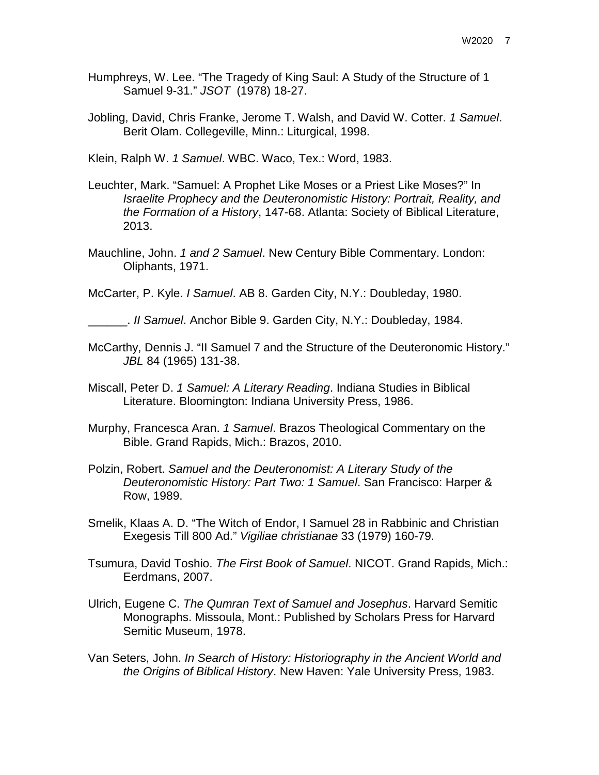- Humphreys, W. Lee. "The Tragedy of King Saul: A Study of the Structure of 1 Samuel 9-31." *JSOT* (1978) 18-27.
- Jobling, David, Chris Franke, Jerome T. Walsh, and David W. Cotter. *1 Samuel*. Berit Olam. Collegeville, Minn.: Liturgical, 1998.

Klein, Ralph W. *1 Samuel*. WBC. Waco, Tex.: Word, 1983.

- Leuchter, Mark. "Samuel: A Prophet Like Moses or a Priest Like Moses?" In *Israelite Prophecy and the Deuteronomistic History: Portrait, Reality, and the Formation of a History*, 147-68. Atlanta: Society of Biblical Literature, 2013.
- Mauchline, John. *1 and 2 Samuel*. New Century Bible Commentary. London: Oliphants, 1971.

McCarter, P. Kyle. *I Samuel*. AB 8. Garden City, N.Y.: Doubleday, 1980.

- \_\_\_\_\_\_. *II Samuel*. Anchor Bible 9. Garden City, N.Y.: Doubleday, 1984.
- McCarthy, Dennis J. "II Samuel 7 and the Structure of the Deuteronomic History." *JBL* 84 (1965) 131-38.
- Miscall, Peter D. *1 Samuel: A Literary Reading*. Indiana Studies in Biblical Literature. Bloomington: Indiana University Press, 1986.
- Murphy, Francesca Aran. *1 Samuel*. Brazos Theological Commentary on the Bible. Grand Rapids, Mich.: Brazos, 2010.
- Polzin, Robert. *Samuel and the Deuteronomist: A Literary Study of the Deuteronomistic History: Part Two: 1 Samuel*. San Francisco: Harper & Row, 1989.
- Smelik, Klaas A. D. "The Witch of Endor, I Samuel 28 in Rabbinic and Christian Exegesis Till 800 Ad." *Vigiliae christianae* 33 (1979) 160-79.
- Tsumura, David Toshio. *The First Book of Samuel*. NICOT. Grand Rapids, Mich.: Eerdmans, 2007.
- Ulrich, Eugene C. *The Qumran Text of Samuel and Josephus*. Harvard Semitic Monographs. Missoula, Mont.: Published by Scholars Press for Harvard Semitic Museum, 1978.
- Van Seters, John. *In Search of History: Historiography in the Ancient World and the Origins of Biblical History*. New Haven: Yale University Press, 1983.